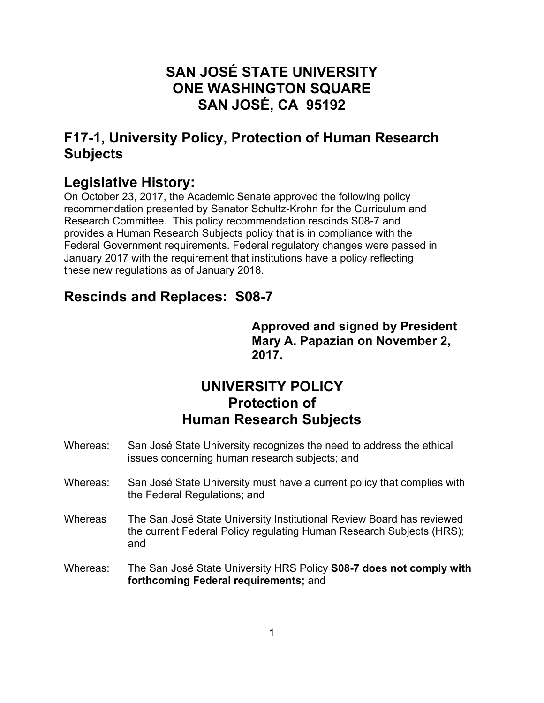# **SAN JOSÉ STATE UNIVERSITY ONE WASHINGTON SQUARE SAN JOSÉ, CA 95192**

# **F17-1, University Policy, Protection of Human Research Subjects**

# **Legislative History:**

On October 23, 2017, the Academic Senate approved the following policy recommendation presented by Senator Schultz-Krohn for the Curriculum and Research Committee. This policy recommendation rescinds S08-7 and provides a Human Research Subjects policy that is in compliance with the Federal Government requirements. Federal regulatory changes were passed in January 2017 with the requirement that institutions have a policy reflecting these new regulations as of January 2018.

# **Rescinds and Replaces: S08-7**

**Approved and signed by President Mary A. Papazian on November 2, 2017.** 

# **UNIVERSITY POLICY Protection of Human Research Subjects**

- Whereas: San José State University recognizes the need to address the ethical issues concerning human research subjects; and
- Whereas: San José State University must have a current policy that complies with the Federal Regulations; and
- Whereas The San José State University Institutional Review Board has reviewed the current Federal Policy regulating Human Research Subjects (HRS); and
- Whereas: The San José State University HRS Policy **S08-7 does not comply with forthcoming Federal requirements;** and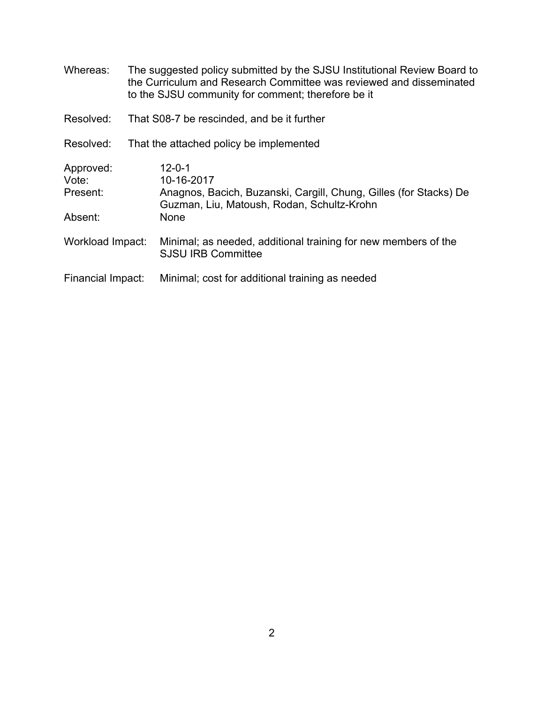| Whereas:                                  | The suggested policy submitted by the SJSU Institutional Review Board to<br>the Curriculum and Research Committee was reviewed and disseminated<br>to the SJSU community for comment; therefore be it |
|-------------------------------------------|-------------------------------------------------------------------------------------------------------------------------------------------------------------------------------------------------------|
| Resolved:                                 | That S08-7 be rescinded, and be it further                                                                                                                                                            |
| Resolved:                                 | That the attached policy be implemented                                                                                                                                                               |
| Approved:<br>Vote:<br>Present:<br>Absent: | $12 - 0 - 1$<br>10-16-2017<br>Anagnos, Bacich, Buzanski, Cargill, Chung, Gilles (for Stacks) De<br>Guzman, Liu, Matoush, Rodan, Schultz-Krohn<br>None                                                 |
| Workload Impact:                          | Minimal; as needed, additional training for new members of the<br><b>SJSU IRB Committee</b>                                                                                                           |
| Financial Impact:                         | Minimal; cost for additional training as needed                                                                                                                                                       |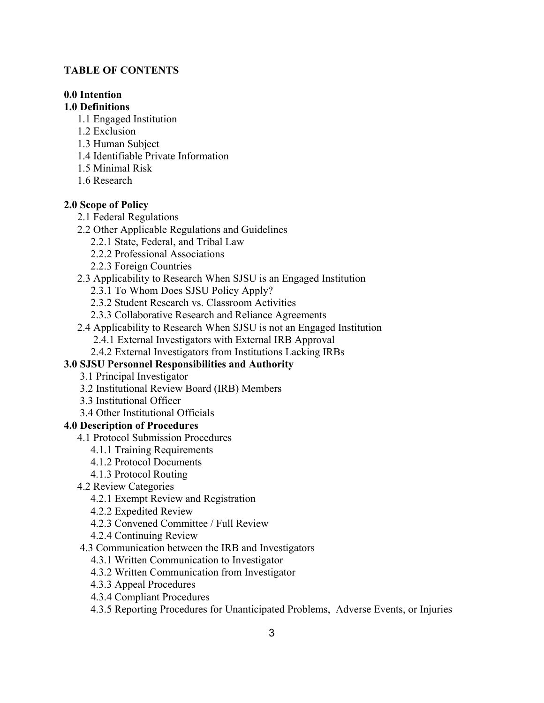### **TABLE OF CONTENTS**

# **0.0 Intention**

## **1.0 Definitions**

- 1.1 Engaged Institution
- 1.2 Exclusion
- 1.3 Human Subject
- 1.4 Identifiable Private Information
- 1.5 Minimal Risk
- 1.6 Research

# **2.0 Scope of Policy**

- 2.1 Federal Regulations
- 2.2 Other Applicable Regulations and Guidelines
	- 2.2.1 State, Federal, and Tribal Law
	- 2.2.2 Professional Associations
	- 2.2.3 Foreign Countries
- 2.3 Applicability to Research When SJSU is an Engaged Institution
	- 2.3.1 To Whom Does SJSU Policy Apply?
	- 2.3.2 Student Research vs. Classroom Activities
	- 2.3.3 Collaborative Research and Reliance Agreements
- 2.4 Applicability to Research When SJSU is not an Engaged Institution
	- 2.4.1 External Investigators with External IRB Approval
	- 2.4.2 External Investigators from Institutions Lacking IRBs

# **3.0 SJSU Personnel Responsibilities and Authority**

- 3.1 Principal Investigator
- 3.2 Institutional Review Board (IRB) Members
- 3.3 Institutional Officer
- 3.4 Other Institutional Officials

# **4.0 Description of Procedures**

- 4.1 Protocol Submission Procedures
	- 4.1.1 Training Requirements
	- 4.1.2 Protocol Documents
	- 4.1.3 Protocol Routing
- 4.2 Review Categories
	- 4.2.1 Exempt Review and Registration
	- 4.2.2 Expedited Review
	- 4.2.3 Convened Committee / Full Review
	- 4.2.4 Continuing Review
- 4.3 Communication between the IRB and Investigators
	- 4.3.1 Written Communication to Investigator
	- 4.3.2 Written Communication from Investigator
	- 4.3.3 Appeal Procedures
	- 4.3.4 Compliant Procedures
	- 4.3.5 Reporting Procedures for Unanticipated Problems, Adverse Events, or Injuries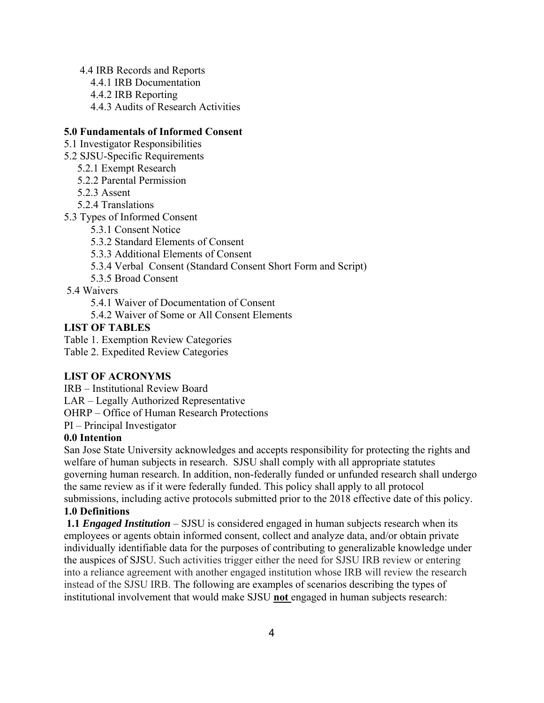4.4 IRB Records and Reports 4.4.1 IRB Documentation 4.4.2 IRB Reporting 4.4.3 Audits of Research Activities

# **5.0 Fundamentals of Informed Consent**

5.1 Investigator Responsibilities

- 5.2 SJSU-Specific Requirements
	- 5.2.1 Exempt Research
	- 5.2.2 Parental Permission
	- 5.2.3 Assent
	- 5.2.4 Translations

5.3 Types of Informed Consent

5.3.1 Consent Notice

5.3.2 Standard Elements of Consent

5.3.3 Additional Elements of Consent

5.3.4 Verbal Consent (Standard Consent Short Form and Script)

5.3.5 Broad Consent

5.4 Waivers

5.4.1 Waiver of Documentation of Consent

5.4.2 Waiver of Some or All Consent Elements

### **LIST OF TABLES**

Table 1. Exemption Review Categories

Table 2. Expedited Review Categories

# **LIST OF ACRONYMS**

IRB – Institutional Review Board

LAR – Legally Authorized Representative

OHRP – Office of Human Research Protections

PI – Principal Investigator

#### **0.0 Intention**

San Jose State University acknowledges and accepts responsibility for protecting the rights and welfare of human subjects in research. SJSU shall comply with all appropriate statutes governing human research. In addition, non-federally funded or unfunded research shall undergo the same review as if it were federally funded. This policy shall apply to all protocol submissions, including active protocols submitted prior to the 2018 effective date of this policy. **1.0 Definitions** 

**1.1** *Engaged Institution* – SJSU is considered engaged in human subjects research when its employees or agents obtain informed consent, collect and analyze data, and/or obtain private individually identifiable data for the purposes of contributing to generalizable knowledge under the auspices of SJSU. Such activities trigger either the need for SJSU IRB review or entering into a reliance agreement with another engaged institution whose IRB will review the research instead of the SJSU IRB. The following are examples of scenarios describing the types of institutional involvement that would make SJSU **not** engaged in human subjects research: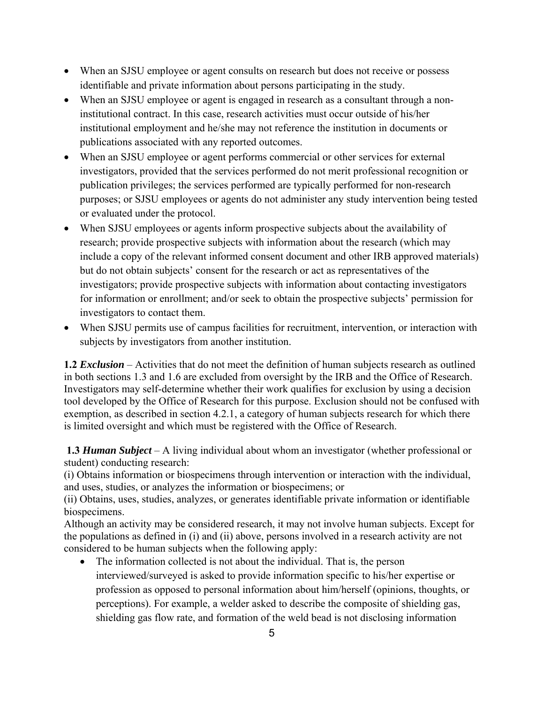- When an SJSU employee or agent consults on research but does not receive or possess identifiable and private information about persons participating in the study.
- When an SJSU employee or agent is engaged in research as a consultant through a noninstitutional contract. In this case, research activities must occur outside of his/her institutional employment and he/she may not reference the institution in documents or publications associated with any reported outcomes.
- When an SJSU employee or agent performs commercial or other services for external investigators, provided that the services performed do not merit professional recognition or publication privileges; the services performed are typically performed for non-research purposes; or SJSU employees or agents do not administer any study intervention being tested or evaluated under the protocol.
- When SJSU employees or agents inform prospective subjects about the availability of research; provide prospective subjects with information about the research (which may include a copy of the relevant informed consent document and other IRB approved materials) but do not obtain subjects' consent for the research or act as representatives of the investigators; provide prospective subjects with information about contacting investigators for information or enrollment; and/or seek to obtain the prospective subjects' permission for investigators to contact them.
- When SJSU permits use of campus facilities for recruitment, intervention, or interaction with subjects by investigators from another institution.

**1.2** *Exclusion* – Activities that do not meet the definition of human subjects research as outlined in both sections 1.3 and 1.6 are excluded from oversight by the IRB and the Office of Research. Investigators may self-determine whether their work qualifies for exclusion by using a decision tool developed by the Office of Research for this purpose. Exclusion should not be confused with exemption, as described in section 4.2.1, a category of human subjects research for which there is limited oversight and which must be registered with the Office of Research.

**1.3** *Human Subject* – A living individual about whom an investigator (whether professional or student) conducting research:

(i) Obtains information or biospecimens through intervention or interaction with the individual, and uses, studies, or analyzes the information or biospecimens; or

(ii) Obtains, uses, studies, analyzes, or generates identifiable private information or identifiable biospecimens.

Although an activity may be considered research, it may not involve human subjects. Except for the populations as defined in (i) and (ii) above, persons involved in a research activity are not considered to be human subjects when the following apply:

 The information collected is not about the individual. That is, the person interviewed/surveyed is asked to provide information specific to his/her expertise or profession as opposed to personal information about him/herself (opinions, thoughts, or perceptions). For example, a welder asked to describe the composite of shielding gas, shielding gas flow rate, and formation of the weld bead is not disclosing information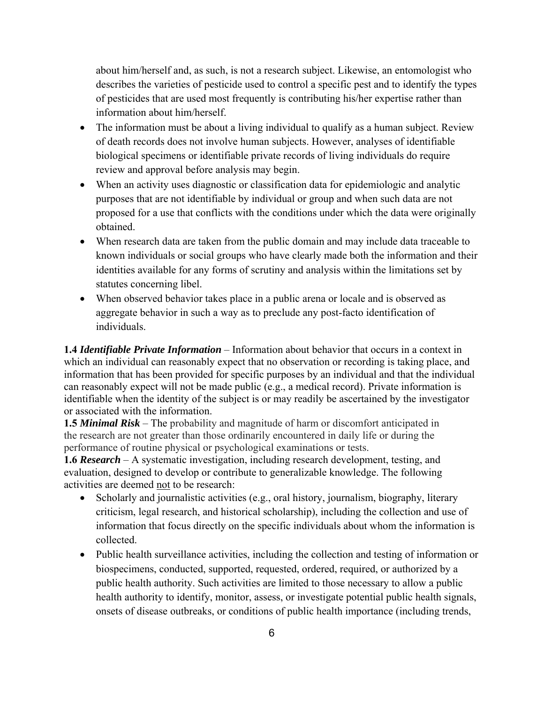about him/herself and, as such, is not a research subject. Likewise, an entomologist who describes the varieties of pesticide used to control a specific pest and to identify the types of pesticides that are used most frequently is contributing his/her expertise rather than information about him/herself.

- The information must be about a living individual to qualify as a human subject. Review of death records does not involve human subjects. However, analyses of identifiable biological specimens or identifiable private records of living individuals do require review and approval before analysis may begin.
- When an activity uses diagnostic or classification data for epidemiologic and analytic purposes that are not identifiable by individual or group and when such data are not proposed for a use that conflicts with the conditions under which the data were originally obtained.
- When research data are taken from the public domain and may include data traceable to known individuals or social groups who have clearly made both the information and their identities available for any forms of scrutiny and analysis within the limitations set by statutes concerning libel.
- When observed behavior takes place in a public arena or locale and is observed as aggregate behavior in such a way as to preclude any post-facto identification of individuals.

**1.4** *Identifiable Private Information* – Information about behavior that occurs in a context in which an individual can reasonably expect that no observation or recording is taking place, and information that has been provided for specific purposes by an individual and that the individual can reasonably expect will not be made public (e.g., a medical record). Private information is identifiable when the identity of the subject is or may readily be ascertained by the investigator or associated with the information.

**1.5** *Minimal Risk* – The probability and magnitude of harm or discomfort anticipated in the research are not greater than those ordinarily encountered in daily life or during the performance of routine physical or psychological examinations or tests.

**1.6** *Research* – A systematic investigation, including research development, testing, and evaluation, designed to develop or contribute to generalizable knowledge. The following activities are deemed not to be research:

- Scholarly and journalistic activities (e.g., oral history, journalism, biography, literary criticism, legal research, and historical scholarship), including the collection and use of information that focus directly on the specific individuals about whom the information is collected.
- Public health surveillance activities, including the collection and testing of information or biospecimens, conducted, supported, requested, ordered, required, or authorized by a public health authority. Such activities are limited to those necessary to allow a public health authority to identify, monitor, assess, or investigate potential public health signals, onsets of disease outbreaks, or conditions of public health importance (including trends,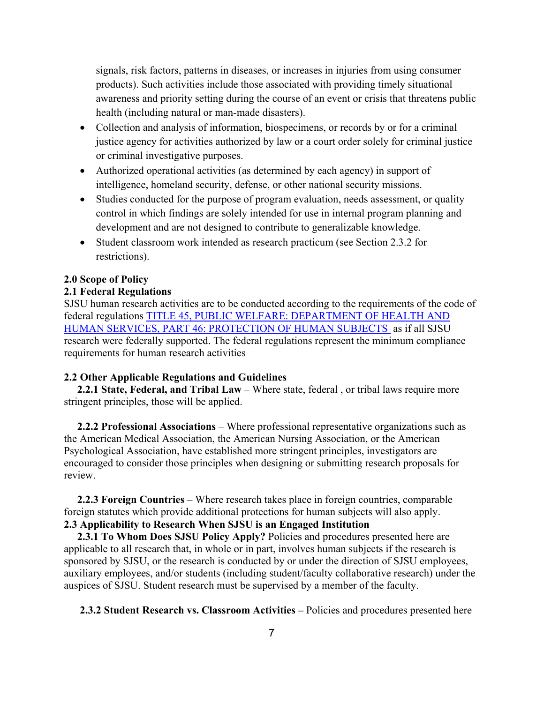signals, risk factors, patterns in diseases, or increases in injuries from using consumer products). Such activities include those associated with providing timely situational awareness and priority setting during the course of an event or crisis that threatens public health (including natural or man-made disasters).

- Collection and analysis of information, biospecimens, or records by or for a criminal justice agency for activities authorized by law or a court order solely for criminal justice or criminal investigative purposes.
- Authorized operational activities (as determined by each agency) in support of intelligence, homeland security, defense, or other national security missions.
- Studies conducted for the purpose of program evaluation, needs assessment, or quality control in which findings are solely intended for use in internal program planning and development and are not designed to contribute to generalizable knowledge.
- Student classroom work intended as research practicum (see Section 2.3.2 for restrictions).

### **2.0 Scope of Policy**

#### **2.1 Federal Regulations**

SJSU human research activities are to be conducted according to the requirements of the code of federal regulations TITLE 45, PUBLIC WELFARE: DEPARTMENT OF HEALTH AND HUMAN SERVICES, PART 46: PROTECTION OF HUMAN SUBJECTS as if all SJSU research were federally supported. The federal regulations represent the minimum compliance requirements for human research activities

#### **2.2 Other Applicable Regulations and Guidelines**

**2.2.1 State, Federal, and Tribal Law** – Where state, federal , or tribal laws require more stringent principles, those will be applied.

**2.2.2 Professional Associations** – Where professional representative organizations such as the American Medical Association, the American Nursing Association, or the American Psychological Association, have established more stringent principles, investigators are encouraged to consider those principles when designing or submitting research proposals for review.

 **2.2.3 Foreign Countries** – Where research takes place in foreign countries, comparable foreign statutes which provide additional protections for human subjects will also apply. **2.3 Applicability to Research When SJSU is an Engaged Institution** 

**2.3.1 To Whom Does SJSU Policy Apply?** Policies and procedures presented here are applicable to all research that, in whole or in part, involves human subjects if the research is sponsored by SJSU, or the research is conducted by or under the direction of SJSU employees, auxiliary employees, and/or students (including student/faculty collaborative research) under the auspices of SJSU. Student research must be supervised by a member of the faculty.

**2.3.2 Student Research vs. Classroom Activities –** Policies and procedures presented here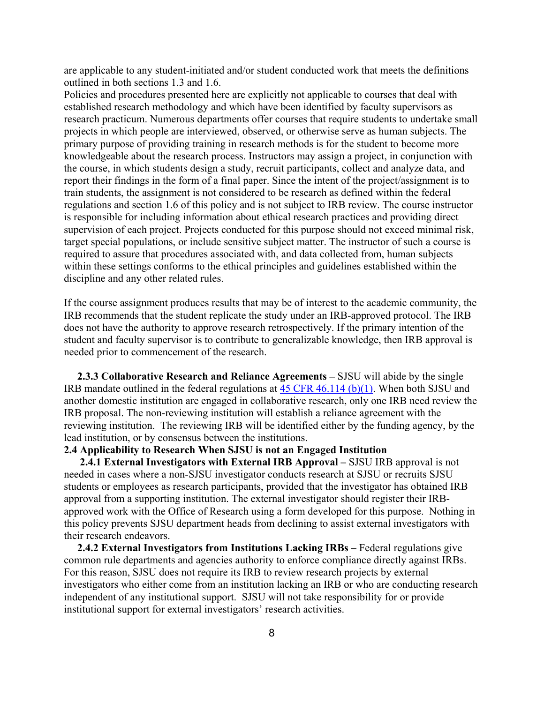are applicable to any student-initiated and/or student conducted work that meets the definitions outlined in both sections 1.3 and 1.6.

Policies and procedures presented here are explicitly not applicable to courses that deal with established research methodology and which have been identified by faculty supervisors as research practicum. Numerous departments offer courses that require students to undertake small projects in which people are interviewed, observed, or otherwise serve as human subjects. The primary purpose of providing training in research methods is for the student to become more knowledgeable about the research process. Instructors may assign a project, in conjunction with the course, in which students design a study, recruit participants, collect and analyze data, and report their findings in the form of a final paper. Since the intent of the project/assignment is to train students, the assignment is not considered to be research as defined within the federal regulations and section 1.6 of this policy and is not subject to IRB review. The course instructor is responsible for including information about ethical research practices and providing direct supervision of each project. Projects conducted for this purpose should not exceed minimal risk, target special populations, or include sensitive subject matter. The instructor of such a course is required to assure that procedures associated with, and data collected from, human subjects within these settings conforms to the ethical principles and guidelines established within the discipline and any other related rules.

If the course assignment produces results that may be of interest to the academic community, the IRB recommends that the student replicate the study under an IRB-approved protocol. The IRB does not have the authority to approve research retrospectively. If the primary intention of the student and faculty supervisor is to contribute to generalizable knowledge, then IRB approval is needed prior to commencement of the research.

**2.3.3 Collaborative Research and Reliance Agreements –** SJSU will abide by the single IRB mandate outlined in the federal regulations at 45 CFR 46.114 (b)(1). When both SJSU and another domestic institution are engaged in collaborative research, only one IRB need review the IRB proposal. The non-reviewing institution will establish a reliance agreement with the reviewing institution. The reviewing IRB will be identified either by the funding agency, by the lead institution, or by consensus between the institutions.

## **2.4 Applicability to Research When SJSU is not an Engaged Institution**

**2.4.1 External Investigators with External IRB Approval –** SJSU IRB approval is not needed in cases where a non-SJSU investigator conducts research at SJSU or recruits SJSU students or employees as research participants, provided that the investigator has obtained IRB approval from a supporting institution. The external investigator should register their IRBapproved work with the Office of Research using a form developed for this purpose. Nothing in this policy prevents SJSU department heads from declining to assist external investigators with their research endeavors.

**2.4.2 External Investigators from Institutions Lacking IRBs** – Federal regulations give common rule departments and agencies authority to enforce compliance directly against IRBs. For this reason, SJSU does not require its IRB to review research projects by external investigators who either come from an institution lacking an IRB or who are conducting research independent of any institutional support. SJSU will not take responsibility for or provide institutional support for external investigators' research activities.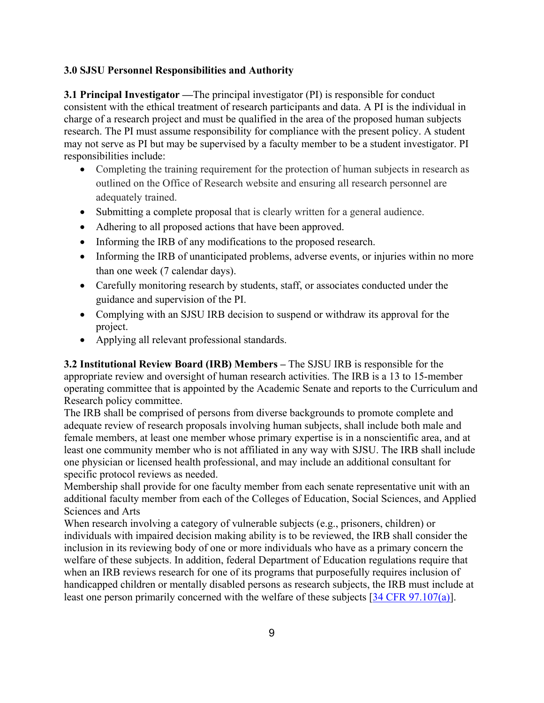# **3.0 SJSU Personnel Responsibilities and Authority**

**3.1 Principal Investigator —**The principal investigator (PI) is responsible for conduct consistent with the ethical treatment of research participants and data. A PI is the individual in charge of a research project and must be qualified in the area of the proposed human subjects research. The PI must assume responsibility for compliance with the present policy. A student may not serve as PI but may be supervised by a faculty member to be a student investigator. PI responsibilities include:

- Completing the training requirement for the protection of human subjects in research as outlined on the Office of Research website and ensuring all research personnel are adequately trained.
- Submitting a complete proposal that is clearly written for a general audience.
- Adhering to all proposed actions that have been approved.
- Informing the IRB of any modifications to the proposed research.
- Informing the IRB of unanticipated problems, adverse events, or injuries within no more than one week (7 calendar days).
- Carefully monitoring research by students, staff, or associates conducted under the guidance and supervision of the PI.
- Complying with an SJSU IRB decision to suspend or withdraw its approval for the project.
- Applying all relevant professional standards.

**3.2 Institutional Review Board (IRB) Members –** The SJSU IRB is responsible for the appropriate review and oversight of human research activities. The IRB is a 13 to 15-member operating committee that is appointed by the Academic Senate and reports to the Curriculum and Research policy committee.

The IRB shall be comprised of persons from diverse backgrounds to promote complete and adequate review of research proposals involving human subjects, shall include both male and female members, at least one member whose primary expertise is in a nonscientific area, and at least one community member who is not affiliated in any way with SJSU. The IRB shall include one physician or licensed health professional, and may include an additional consultant for specific protocol reviews as needed.

Membership shall provide for one faculty member from each senate representative unit with an additional faculty member from each of the Colleges of Education, Social Sciences, and Applied Sciences and Arts

When research involving a category of vulnerable subjects (e.g., prisoners, children) or individuals with impaired decision making ability is to be reviewed, the IRB shall consider the inclusion in its reviewing body of one or more individuals who have as a primary concern the welfare of these subjects. In addition, federal Department of Education regulations require that when an IRB reviews research for one of its programs that purposefully requires inclusion of handicapped children or mentally disabled persons as research subjects, the IRB must include at least one person primarily concerned with the welfare of these subjects [34 CFR 97.107(a)].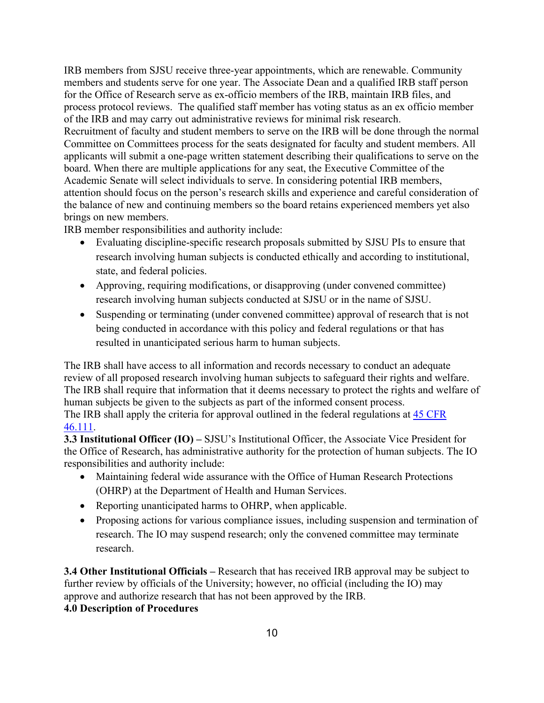IRB members from SJSU receive three-year appointments, which are renewable. Community members and students serve for one year. The Associate Dean and a qualified IRB staff person for the Office of Research serve as ex-officio members of the IRB, maintain IRB files, and process protocol reviews. The qualified staff member has voting status as an ex officio member of the IRB and may carry out administrative reviews for minimal risk research. Recruitment of faculty and student members to serve on the IRB will be done through the normal

Committee on Committees process for the seats designated for faculty and student members. All applicants will submit a one-page written statement describing their qualifications to serve on the board. When there are multiple applications for any seat, the Executive Committee of the Academic Senate will select individuals to serve. In considering potential IRB members, attention should focus on the person's research skills and experience and careful consideration of the balance of new and continuing members so the board retains experienced members yet also brings on new members.

IRB member responsibilities and authority include:

- Evaluating discipline-specific research proposals submitted by SJSU PIs to ensure that research involving human subjects is conducted ethically and according to institutional, state, and federal policies.
- Approving, requiring modifications, or disapproving (under convened committee) research involving human subjects conducted at SJSU or in the name of SJSU.
- Suspending or terminating (under convened committee) approval of research that is not being conducted in accordance with this policy and federal regulations or that has resulted in unanticipated serious harm to human subjects.

The IRB shall have access to all information and records necessary to conduct an adequate review of all proposed research involving human subjects to safeguard their rights and welfare. The IRB shall require that information that it deems necessary to protect the rights and welfare of human subjects be given to the subjects as part of the informed consent process. The IRB shall apply the criteria for approval outlined in the federal regulations at 45 CFR 46.111.

**3.3 Institutional Officer (IO) –** SJSU's Institutional Officer, the Associate Vice President for the Office of Research, has administrative authority for the protection of human subjects. The IO responsibilities and authority include:

- Maintaining federal wide assurance with the Office of Human Research Protections (OHRP) at the Department of Health and Human Services.
- Reporting unanticipated harms to OHRP, when applicable.
- Proposing actions for various compliance issues, including suspension and termination of research. The IO may suspend research; only the convened committee may terminate research.

**3.4 Other Institutional Officials –** Research that has received IRB approval may be subject to further review by officials of the University; however, no official (including the IO) may approve and authorize research that has not been approved by the IRB.

# **4.0 Description of Procedures**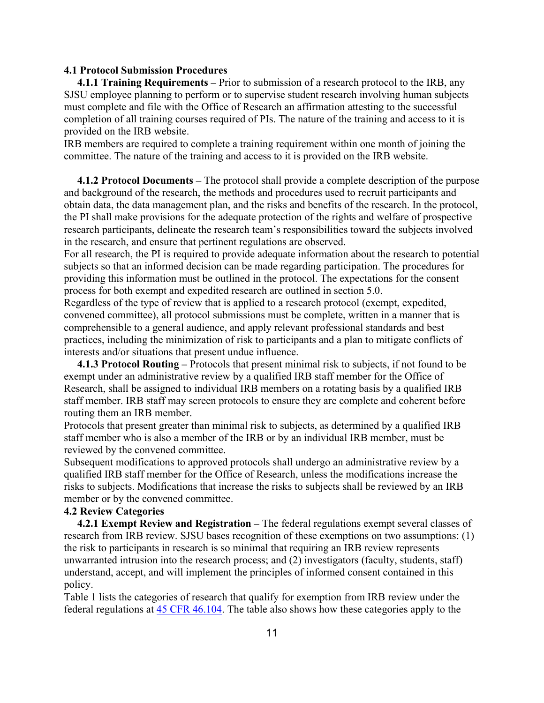#### **4.1 Protocol Submission Procedures**

**4.1.1 Training Requirements –** Prior to submission of a research protocol to the IRB, any SJSU employee planning to perform or to supervise student research involving human subjects must complete and file with the Office of Research an affirmation attesting to the successful completion of all training courses required of PIs. The nature of the training and access to it is provided on the IRB website.

IRB members are required to complete a training requirement within one month of joining the committee. The nature of the training and access to it is provided on the IRB website.

**4.1.2 Protocol Documents –** The protocol shall provide a complete description of the purpose and background of the research, the methods and procedures used to recruit participants and obtain data, the data management plan, and the risks and benefits of the research. In the protocol, the PI shall make provisions for the adequate protection of the rights and welfare of prospective research participants, delineate the research team's responsibilities toward the subjects involved in the research, and ensure that pertinent regulations are observed.

For all research, the PI is required to provide adequate information about the research to potential subjects so that an informed decision can be made regarding participation. The procedures for providing this information must be outlined in the protocol. The expectations for the consent process for both exempt and expedited research are outlined in section 5.0.

Regardless of the type of review that is applied to a research protocol (exempt, expedited, convened committee), all protocol submissions must be complete, written in a manner that is comprehensible to a general audience, and apply relevant professional standards and best practices, including the minimization of risk to participants and a plan to mitigate conflicts of interests and/or situations that present undue influence.

**4.1.3 Protocol Routing –** Protocols that present minimal risk to subjects, if not found to be exempt under an administrative review by a qualified IRB staff member for the Office of Research, shall be assigned to individual IRB members on a rotating basis by a qualified IRB staff member. IRB staff may screen protocols to ensure they are complete and coherent before routing them an IRB member.

Protocols that present greater than minimal risk to subjects, as determined by a qualified IRB staff member who is also a member of the IRB or by an individual IRB member, must be reviewed by the convened committee.

Subsequent modifications to approved protocols shall undergo an administrative review by a qualified IRB staff member for the Office of Research, unless the modifications increase the risks to subjects. Modifications that increase the risks to subjects shall be reviewed by an IRB member or by the convened committee.

# **4.2 Review Categories**

**4.2.1 Exempt Review and Registration –** The federal regulations exempt several classes of research from IRB review. SJSU bases recognition of these exemptions on two assumptions: (1) the risk to participants in research is so minimal that requiring an IRB review represents unwarranted intrusion into the research process; and (2) investigators (faculty, students, staff) understand, accept, and will implement the principles of informed consent contained in this policy.

Table 1 lists the categories of research that qualify for exemption from IRB review under the federal regulations at 45 CFR 46.104. The table also shows how these categories apply to the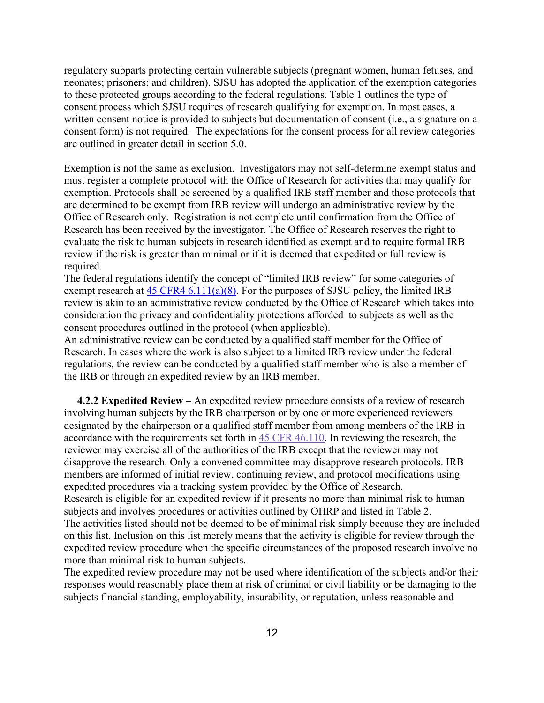regulatory subparts protecting certain vulnerable subjects (pregnant women, human fetuses, and neonates; prisoners; and children). SJSU has adopted the application of the exemption categories to these protected groups according to the federal regulations. Table 1 outlines the type of consent process which SJSU requires of research qualifying for exemption. In most cases, a written consent notice is provided to subjects but documentation of consent (i.e., a signature on a consent form) is not required. The expectations for the consent process for all review categories are outlined in greater detail in section 5.0.

Exemption is not the same as exclusion. Investigators may not self-determine exempt status and must register a complete protocol with the Office of Research for activities that may qualify for exemption. Protocols shall be screened by a qualified IRB staff member and those protocols that are determined to be exempt from IRB review will undergo an administrative review by the Office of Research only. Registration is not complete until confirmation from the Office of Research has been received by the investigator. The Office of Research reserves the right to evaluate the risk to human subjects in research identified as exempt and to require formal IRB review if the risk is greater than minimal or if it is deemed that expedited or full review is required.

The federal regulations identify the concept of "limited IRB review" for some categories of exempt research at  $45 \text{ CFR}4 \cdot 6.111(a)(8)$ . For the purposes of SJSU policy, the limited IRB review is akin to an administrative review conducted by the Office of Research which takes into consideration the privacy and confidentiality protections afforded to subjects as well as the consent procedures outlined in the protocol (when applicable).

An administrative review can be conducted by a qualified staff member for the Office of Research. In cases where the work is also subject to a limited IRB review under the federal regulations, the review can be conducted by a qualified staff member who is also a member of the IRB or through an expedited review by an IRB member.

**4.2.2 Expedited Review –** An expedited review procedure consists of a review of research involving human subjects by the IRB chairperson or by one or more experienced reviewers designated by the chairperson or a qualified staff member from among members of the IRB in accordance with the requirements set forth in 45 CFR 46.110. In reviewing the research, the reviewer may exercise all of the authorities of the IRB except that the reviewer may not disapprove the research. Only a convened committee may disapprove research protocols. IRB members are informed of initial review, continuing review, and protocol modifications using expedited procedures via a tracking system provided by the Office of Research. Research is eligible for an expedited review if it presents no more than minimal risk to human subjects and involves procedures or activities outlined by OHRP and listed in Table 2. The activities listed should not be deemed to be of minimal risk simply because they are included on this list. Inclusion on this list merely means that the activity is eligible for review through the expedited review procedure when the specific circumstances of the proposed research involve no more than minimal risk to human subjects.

The expedited review procedure may not be used where identification of the subjects and/or their responses would reasonably place them at risk of criminal or civil liability or be damaging to the subjects financial standing, employability, insurability, or reputation, unless reasonable and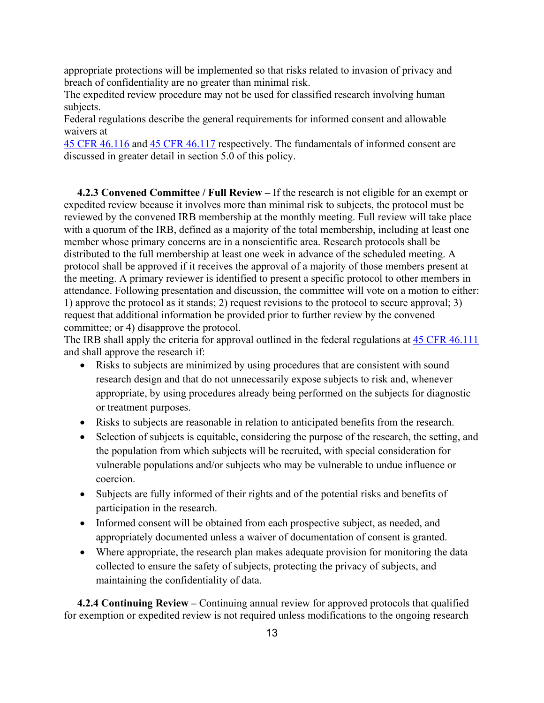appropriate protections will be implemented so that risks related to invasion of privacy and breach of confidentiality are no greater than minimal risk.

The expedited review procedure may not be used for classified research involving human subjects.

Federal regulations describe the general requirements for informed consent and allowable waivers at

45 CFR 46.116 and 45 CFR 46.117 respectively. The fundamentals of informed consent are discussed in greater detail in section 5.0 of this policy.

**4.2.3 Convened Committee / Full Review –** If the research is not eligible for an exempt or expedited review because it involves more than minimal risk to subjects, the protocol must be reviewed by the convened IRB membership at the monthly meeting. Full review will take place with a quorum of the IRB, defined as a majority of the total membership, including at least one member whose primary concerns are in a nonscientific area. Research protocols shall be distributed to the full membership at least one week in advance of the scheduled meeting. A protocol shall be approved if it receives the approval of a majority of those members present at the meeting. A primary reviewer is identified to present a specific protocol to other members in attendance. Following presentation and discussion, the committee will vote on a motion to either: 1) approve the protocol as it stands; 2) request revisions to the protocol to secure approval; 3) request that additional information be provided prior to further review by the convened committee; or 4) disapprove the protocol.

The IRB shall apply the criteria for approval outlined in the federal regulations at 45 CFR 46.111 and shall approve the research if:

- Risks to subjects are minimized by using procedures that are consistent with sound research design and that do not unnecessarily expose subjects to risk and, whenever appropriate, by using procedures already being performed on the subjects for diagnostic or treatment purposes.
- Risks to subjects are reasonable in relation to anticipated benefits from the research.
- Selection of subjects is equitable, considering the purpose of the research, the setting, and the population from which subjects will be recruited, with special consideration for vulnerable populations and/or subjects who may be vulnerable to undue influence or coercion.
- Subjects are fully informed of their rights and of the potential risks and benefits of participation in the research.
- Informed consent will be obtained from each prospective subject, as needed, and appropriately documented unless a waiver of documentation of consent is granted.
- Where appropriate, the research plan makes adequate provision for monitoring the data collected to ensure the safety of subjects, protecting the privacy of subjects, and maintaining the confidentiality of data.

**4.2.4 Continuing Review –** Continuing annual review for approved protocols that qualified for exemption or expedited review is not required unless modifications to the ongoing research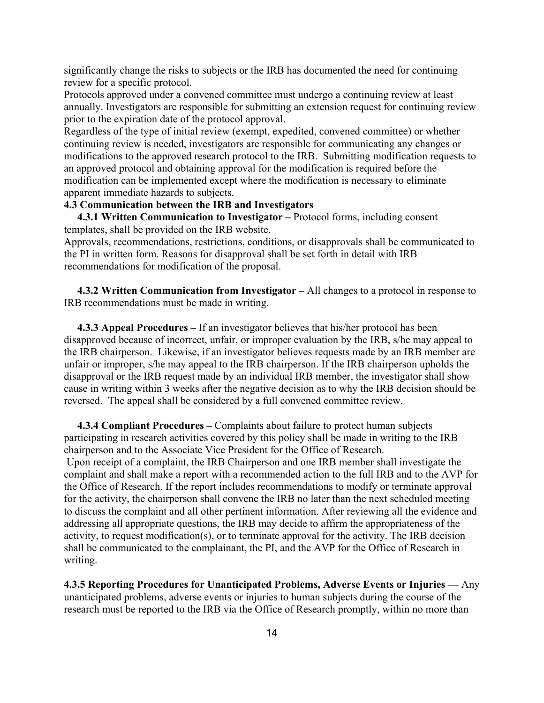significantly change the risks to subjects or the IRB has documented the need for continuing review for a specific protocol.

Protocols approved under a convened committee must undergo a continuing review at least annually. Investigators are responsible for submitting an extension request for continuing review prior to the expiration date of the protocol approval.

Regardless of the type of initial review (exempt, expedited, convened committee) or whether continuing review is needed, investigators are responsible for communicating any changes or modifications to the approved research protocol to the IRB. Submitting modification requests to an approved protocol and obtaining approval for the modification is required before the modification can be implemented except where the modification is necessary to eliminate apparent immediate hazards to subjects.

# **4.3 Communication between the IRB and Investigators**

**4.3.1 Written Communication to Investigator –** Protocol forms, including consent templates, shall be provided on the IRB website.

Approvals, recommendations, restrictions, conditions, or disapprovals shall be communicated to the PI in written form. Reasons for disapproval shall be set forth in detail with IRB recommendations for modification of the proposal.

**4.3.2 Written Communication from Investigator –** All changes to a protocol in response to IRB recommendations must be made in writing.

 **4.3.3 Appeal Procedures –** If an investigator believes that his/her protocol has been disapproved because of incorrect, unfair, or improper evaluation by the IRB, s/he may appeal to the IRB chairperson. Likewise, if an investigator believes requests made by an IRB member are unfair or improper, s/he may appeal to the IRB chairperson. If the IRB chairperson upholds the disapproval or the IRB request made by an individual IRB member, the investigator shall show cause in writing within 3 weeks after the negative decision as to why the IRB decision should be reversed. The appeal shall be considered by a full convened committee review.

**4.3.4 Compliant Procedures –** Complaints about failure to protect human subjects participating in research activities covered by this policy shall be made in writing to the IRB chairperson and to the Associate Vice President for the Office of Research.

 Upon receipt of a complaint, the IRB Chairperson and one IRB member shall investigate the complaint and shall make a report with a recommended action to the full IRB and to the AVP for the Office of Research. If the report includes recommendations to modify or terminate approval for the activity, the chairperson shall convene the IRB no later than the next scheduled meeting to discuss the complaint and all other pertinent information. After reviewing all the evidence and addressing all appropriate questions, the IRB may decide to affirm the appropriateness of the activity, to request modification(s), or to terminate approval for the activity. The IRB decision shall be communicated to the complainant, the PI, and the AVP for the Office of Research in writing.

**4.3.5 Reporting Procedures for Unanticipated Problems, Adverse Events or Injuries —** Any unanticipated problems, adverse events or injuries to human subjects during the course of the research must be reported to the IRB via the Office of Research promptly, within no more than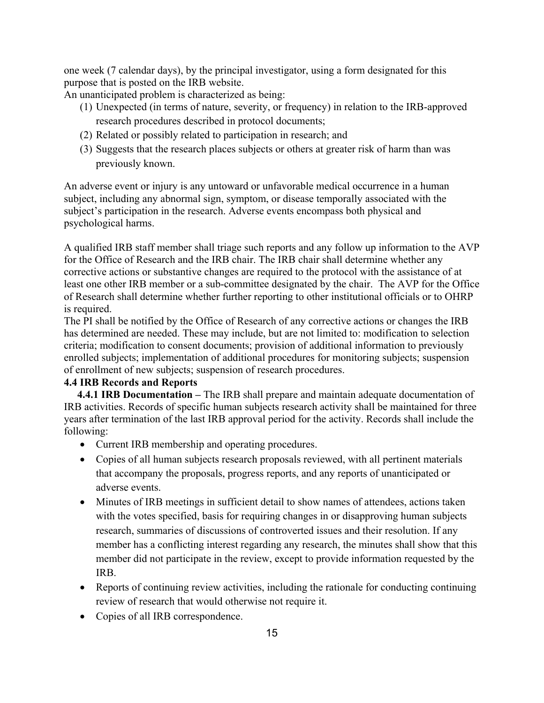one week (7 calendar days), by the principal investigator, using a form designated for this purpose that is posted on the IRB website.

An unanticipated problem is characterized as being:

- (1) Unexpected (in terms of nature, severity, or frequency) in relation to the IRB-approved research procedures described in protocol documents;
- (2) Related or possibly related to participation in research; and
- (3) Suggests that the research places subjects or others at greater risk of harm than was previously known.

An adverse event or injury is any untoward or unfavorable medical occurrence in a human subject, including any abnormal sign, symptom, or disease temporally associated with the subject's participation in the research. Adverse events encompass both physical and psychological harms.

A qualified IRB staff member shall triage such reports and any follow up information to the AVP for the Office of Research and the IRB chair. The IRB chair shall determine whether any corrective actions or substantive changes are required to the protocol with the assistance of at least one other IRB member or a sub-committee designated by the chair. The AVP for the Office of Research shall determine whether further reporting to other institutional officials or to OHRP is required.

The PI shall be notified by the Office of Research of any corrective actions or changes the IRB has determined are needed. These may include, but are not limited to: modification to selection criteria; modification to consent documents; provision of additional information to previously enrolled subjects; implementation of additional procedures for monitoring subjects; suspension of enrollment of new subjects; suspension of research procedures.

# **4.4 IRB Records and Reports**

**4.4.1 IRB Documentation –** The IRB shall prepare and maintain adequate documentation of IRB activities. Records of specific human subjects research activity shall be maintained for three years after termination of the last IRB approval period for the activity. Records shall include the following:

- Current IRB membership and operating procedures.
- Copies of all human subjects research proposals reviewed, with all pertinent materials that accompany the proposals, progress reports, and any reports of unanticipated or adverse events.
- Minutes of IRB meetings in sufficient detail to show names of attendees, actions taken with the votes specified, basis for requiring changes in or disapproving human subjects research, summaries of discussions of controverted issues and their resolution. If any member has a conflicting interest regarding any research, the minutes shall show that this member did not participate in the review, except to provide information requested by the IRB.
- Reports of continuing review activities, including the rationale for conducting continuing review of research that would otherwise not require it.
- Copies of all IRB correspondence.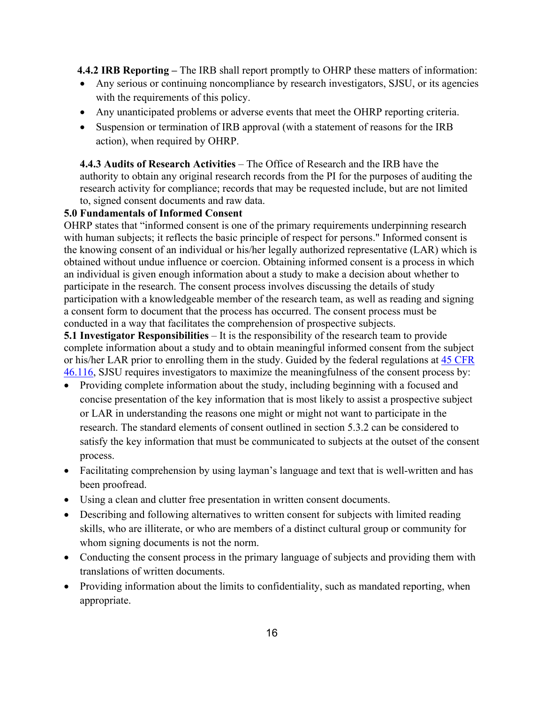**4.4.2 IRB Reporting –** The IRB shall report promptly to OHRP these matters of information:

- Any serious or continuing noncompliance by research investigators, SJSU, or its agencies with the requirements of this policy.
- Any unanticipated problems or adverse events that meet the OHRP reporting criteria.
- Suspension or termination of IRB approval (with a statement of reasons for the IRB action), when required by OHRP.

**4.4.3 Audits of Research Activities** – The Office of Research and the IRB have the authority to obtain any original research records from the PI for the purposes of auditing the research activity for compliance; records that may be requested include, but are not limited to, signed consent documents and raw data.

# **5.0 Fundamentals of Informed Consent**

OHRP states that "informed consent is one of the primary requirements underpinning research with human subjects; it reflects the basic principle of respect for persons." Informed consent is the knowing consent of an individual or his/her legally authorized representative (LAR) which is obtained without undue influence or coercion. Obtaining informed consent is a process in which an individual is given enough information about a study to make a decision about whether to participate in the research. The consent process involves discussing the details of study participation with a knowledgeable member of the research team, as well as reading and signing a consent form to document that the process has occurred. The consent process must be conducted in a way that facilitates the comprehension of prospective subjects.

**5.1 Investigator Responsibilities** – It is the responsibility of the research team to provide complete information about a study and to obtain meaningful informed consent from the subject or his/her LAR prior to enrolling them in the study. Guided by the federal regulations at 45 CFR 46.116, SJSU requires investigators to maximize the meaningfulness of the consent process by:

- Providing complete information about the study, including beginning with a focused and concise presentation of the key information that is most likely to assist a prospective subject or LAR in understanding the reasons one might or might not want to participate in the research. The standard elements of consent outlined in section 5.3.2 can be considered to satisfy the key information that must be communicated to subjects at the outset of the consent process.
- Facilitating comprehension by using layman's language and text that is well-written and has been proofread.
- Using a clean and clutter free presentation in written consent documents.
- whom signing documents is not the norm. • Describing and following alternatives to written consent for subjects with limited reading skills, who are illiterate, or who are members of a distinct cultural group or community for
- Conducting the consent process in the primary language of subjects and providing them with translations of written documents.
- Providing information about the limits to confidentiality, such as mandated reporting, when appropriate.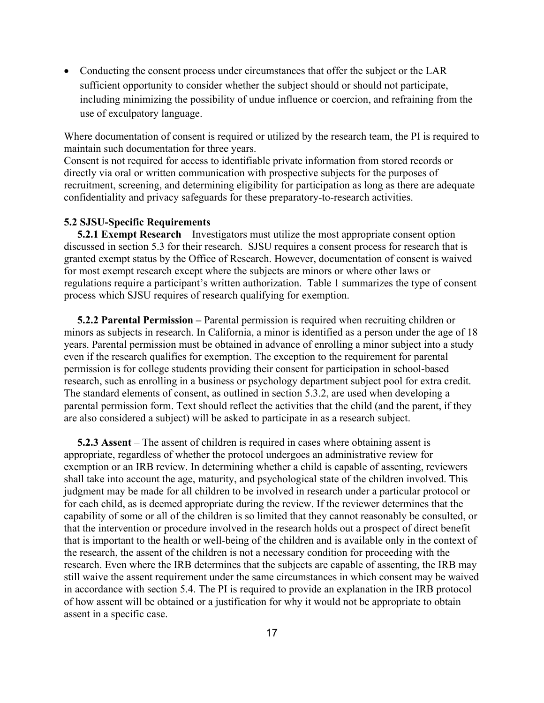• Conducting the consent process under circumstances that offer the subject or the LAR sufficient opportunity to consider whether the subject should or should not participate, including minimizing the possibility of undue influence or coercion, and refraining from the use of exculpatory language.

Where documentation of consent is required or utilized by the research team, the PI is required to maintain such documentation for three years.

Consent is not required for access to identifiable private information from stored records or directly via oral or written communication with prospective subjects for the purposes of recruitment, screening, and determining eligibility for participation as long as there are adequate confidentiality and privacy safeguards for these preparatory-to-research activities.

#### **5.2 SJSU-Specific Requirements**

 **5.2.1 Exempt Research** – Investigators must utilize the most appropriate consent option discussed in section 5.3 for their research. SJSU requires a consent process for research that is granted exempt status by the Office of Research. However, documentation of consent is waived for most exempt research except where the subjects are minors or where other laws or regulations require a participant's written authorization. Table 1 summarizes the type of consent process which SJSU requires of research qualifying for exemption.

**5.2.2 Parental Permission –** Parental permission is required when recruiting children or minors as subjects in research. In California, a minor is identified as a person under the age of 18 years. Parental permission must be obtained in advance of enrolling a minor subject into a study even if the research qualifies for exemption. The exception to the requirement for parental permission is for college students providing their consent for participation in school-based research, such as enrolling in a business or psychology department subject pool for extra credit. The standard elements of consent, as outlined in section 5.3.2, are used when developing a parental permission form. Text should reflect the activities that the child (and the parent, if they are also considered a subject) will be asked to participate in as a research subject.

**5.2.3 Assent** – The assent of children is required in cases where obtaining assent is appropriate, regardless of whether the protocol undergoes an administrative review for exemption or an IRB review. In determining whether a child is capable of assenting, reviewers shall take into account the age, maturity, and psychological state of the children involved. This judgment may be made for all children to be involved in research under a particular protocol or for each child, as is deemed appropriate during the review. If the reviewer determines that the capability of some or all of the children is so limited that they cannot reasonably be consulted, or that the intervention or procedure involved in the research holds out a prospect of direct benefit that is important to the health or well-being of the children and is available only in the context of the research, the assent of the children is not a necessary condition for proceeding with the research. Even where the IRB determines that the subjects are capable of assenting, the IRB may still waive the assent requirement under the same circumstances in which consent may be waived in accordance with section 5.4. The PI is required to provide an explanation in the IRB protocol of how assent will be obtained or a justification for why it would not be appropriate to obtain assent in a specific case.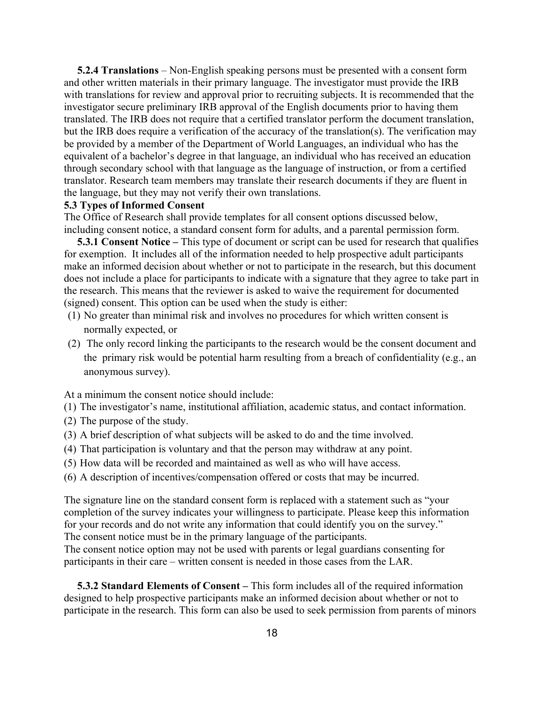investigator secure preliminary IRB approval of the English documents prior to having them **5.2.4 Translations** – Non-English speaking persons must be presented with a consent form and other written materials in their primary language. The investigator must provide the IRB with translations for review and approval prior to recruiting subjects. It is recommended that the translated. The IRB does not require that a certified translator perform the document translation, but the IRB does require a verification of the accuracy of the translation(s). The verification may be provided by a member of the Department of World Languages, an individual who has the equivalent of a bachelor's degree in that language, an individual who has received an education through secondary school with that language as the language of instruction, or from a certified translator. Research team members may translate their research documents if they are fluent in the language, but they may not verify their own translations.

## **5.3 Types of Informed Consent**

The Office of Research shall provide templates for all consent options discussed below, including consent notice, a standard consent form for adults, and a parental permission form.

 **5.3.1 Consent Notice –** This type of document or script can be used for research that qualifies for exemption. It includes all of the information needed to help prospective adult participants make an informed decision about whether or not to participate in the research, but this document does not include a place for participants to indicate with a signature that they agree to take part in the research. This means that the reviewer is asked to waive the requirement for documented (signed) consent. This option can be used when the study is either:

- (1) No greater than minimal risk and involves no procedures for which written consent is normally expected, or
- (2) The only record linking the participants to the research would be the consent document and the primary risk would be potential harm resulting from a breach of confidentiality (e.g., an anonymous survey).

At a minimum the consent notice should include:

- (1) The investigator's name, institutional affiliation, academic status, and contact information.
- (2) The purpose of the study.
- (3) A brief description of what subjects will be asked to do and the time involved.
- (4) That participation is voluntary and that the person may withdraw at any point.
- (5) How data will be recorded and maintained as well as who will have access.
- (6) A description of incentives/compensation offered or costs that may be incurred.

The signature line on the standard consent form is replaced with a statement such as "your completion of the survey indicates your willingness to participate. Please keep this information for your records and do not write any information that could identify you on the survey." The consent notice must be in the primary language of the participants.

 participants in their care – written consent is needed in those cases from the LAR. The consent notice option may not be used with parents or legal guardians consenting for

**5.3.2 Standard Elements of Consent –** This form includes all of the required information designed to help prospective participants make an informed decision about whether or not to participate in the research. This form can also be used to seek permission from parents of minors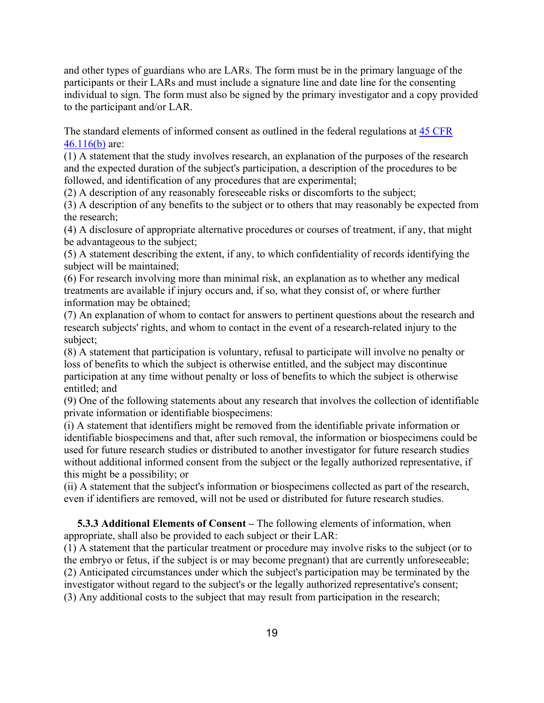and other types of guardians who are LARs. The form must be in the primary language of the participants or their LARs and must include a signature line and date line for the consenting individual to sign. The form must also be signed by the primary investigator and a copy provided to the participant and/or LAR.

The standard elements of informed consent as outlined in the federal regulations at 45 CFR 46.116(b) are:

(1) A statement that the study involves research, an explanation of the purposes of the research and the expected duration of the subject's participation, a description of the procedures to be followed, and identification of any procedures that are experimental;

(2) A description of any reasonably foreseeable risks or discomforts to the subject;

(3) A description of any benefits to the subject or to others that may reasonably be expected from the research;

(4) A disclosure of appropriate alternative procedures or courses of treatment, if any, that might be advantageous to the subject;

(5) A statement describing the extent, if any, to which confidentiality of records identifying the subject will be maintained;

(6) For research involving more than minimal risk, an explanation as to whether any medical treatments are available if injury occurs and, if so, what they consist of, or where further information may be obtained;

(7) An explanation of whom to contact for answers to pertinent questions about the research and research subjects' rights, and whom to contact in the event of a research-related injury to the subject;

(8) A statement that participation is voluntary, refusal to participate will involve no penalty or loss of benefits to which the subject is otherwise entitled, and the subject may discontinue participation at any time without penalty or loss of benefits to which the subject is otherwise entitled; and

(9) One of the following statements about any research that involves the collection of identifiable private information or identifiable biospecimens:

(i) A statement that identifiers might be removed from the identifiable private information or identifiable biospecimens and that, after such removal, the information or biospecimens could be used for future research studies or distributed to another investigator for future research studies without additional informed consent from the subject or the legally authorized representative, if this might be a possibility; or

(ii) A statement that the subject's information or biospecimens collected as part of the research, even if identifiers are removed, will not be used or distributed for future research studies.

**5.3.3 Additional Elements of Consent –** The following elements of information, when appropriate, shall also be provided to each subject or their LAR:

(1) A statement that the particular treatment or procedure may involve risks to the subject (or to the embryo or fetus, if the subject is or may become pregnant) that are currently unforeseeable; (2) Anticipated circumstances under which the subject's participation may be terminated by the investigator without regard to the subject's or the legally authorized representative's consent; (3) Any additional costs to the subject that may result from participation in the research;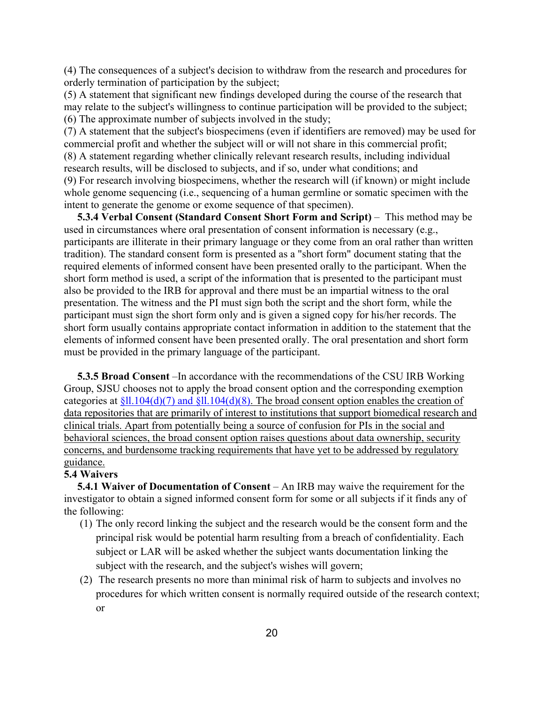(4) The consequences of a subject's decision to withdraw from the research and procedures for orderly termination of participation by the subject;

(5) A statement that significant new findings developed during the course of the research that may relate to the subject's willingness to continue participation will be provided to the subject; (6) The approximate number of subjects involved in the study;

(7) A statement that the subject's biospecimens (even if identifiers are removed) may be used for commercial profit and whether the subject will or will not share in this commercial profit; (8) A statement regarding whether clinically relevant research results, including individual research results, will be disclosed to subjects, and if so, under what conditions; and (9) For research involving biospecimens, whether the research will (if known) or might include whole genome sequencing (i.e., sequencing of a human germline or somatic specimen with the intent to generate the genome or exome sequence of that specimen).

**5.3.4 Verbal Consent (Standard Consent Short Form and Script)** – This method may be used in circumstances where oral presentation of consent information is necessary (e.g., participants are illiterate in their primary language or they come from an oral rather than written tradition). The standard consent form is presented as a "short form" document stating that the required elements of informed consent have been presented orally to the participant. When the short form method is used, a script of the information that is presented to the participant must also be provided to the IRB for approval and there must be an impartial witness to the oral presentation. The witness and the PI must sign both the script and the short form, while the participant must sign the short form only and is given a signed copy for his/her records. The short form usually contains appropriate contact information in addition to the statement that the elements of informed consent have been presented orally. The oral presentation and short form must be provided in the primary language of the participant.

 data repositories that are primarily of interest to institutions that support biomedical research and  **5.3.5 Broad Consent** –In accordance with the recommendations of the CSU IRB Working Group, SJSU chooses not to apply the broad consent option and the corresponding exemption categories at  $$ll.104(d)(7)$  and  $$ll.104(d)(8)$ . The broad consent option enables the creation of clinical trials. Apart from potentially being a source of confusion for PIs in the social and behavioral sciences, the broad consent option raises questions about data ownership, security concerns, and burdensome tracking requirements that have yet to be addressed by regulatory guidance.

#### **5.4 Waivers**

 **5.4.1 Waiver of Documentation of Consent** – An IRB may waive the requirement for the investigator to obtain a signed informed consent form for some or all subjects if it finds any of the following:

- (1) The only record linking the subject and the research would be the consent form and the principal risk would be potential harm resulting from a breach of confidentiality. Each subject or LAR will be asked whether the subject wants documentation linking the subject with the research, and the subject's wishes will govern;
- (2) The research presents no more than minimal risk of harm to subjects and involves no procedures for which written consent is normally required outside of the research context; or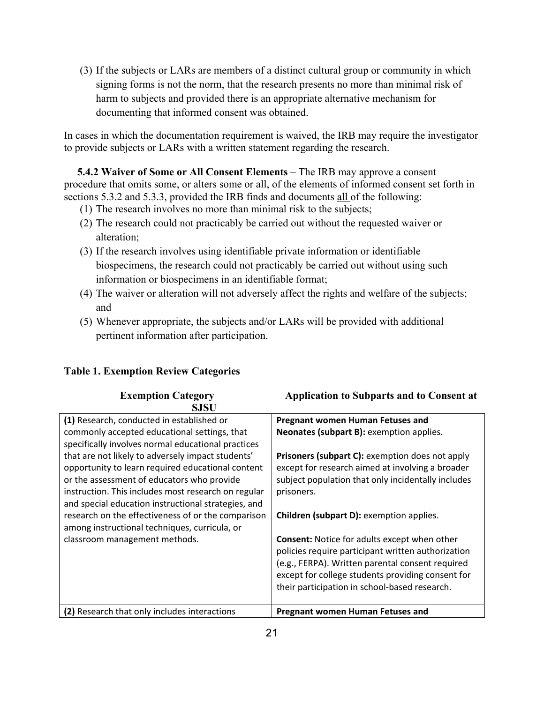(3) If the subjects or LARs are members of a distinct cultural group or community in which signing forms is not the norm, that the research presents no more than minimal risk of harm to subjects and provided there is an appropriate alternative mechanism for documenting that informed consent was obtained.

In cases in which the documentation requirement is waived, the IRB may require the investigator to provide subjects or LARs with a written statement regarding the research.

**5.4.2 Waiver of Some or All Consent Elements** – The IRB may approve a consent procedure that omits some, or alters some or all, of the elements of informed consent set forth in sections 5.3.2 and 5.3.3, provided the IRB finds and documents all of the following:

- (1) The research involves no more than minimal risk to the subjects;
- (2) The research could not practicably be carried out without the requested waiver or alteration;
- (3) If the research involves using identifiable private information or identifiable biospecimens, the research could not practicably be carried out without using such information or biospecimens in an identifiable format;
- (4) The waiver or alteration will not adversely affect the rights and welfare of the subjects; and
- (5) Whenever appropriate, the subjects and/or LARs will be provided with additional pertinent information after participation.

|  | <b>Table 1. Exemption Review Categories</b> |  |  |
|--|---------------------------------------------|--|--|
|--|---------------------------------------------|--|--|

| <b>Exemption Category</b>                           | <b>Application to Subparts and to Consent at</b>       |
|-----------------------------------------------------|--------------------------------------------------------|
| SJSU                                                |                                                        |
| (1) Research, conducted in established or           | <b>Pregnant women Human Fetuses and</b>                |
| commonly accepted educational settings, that        | Neonates (subpart B): exemption applies.               |
| specifically involves normal educational practices  |                                                        |
| that are not likely to adversely impact students'   | <b>Prisoners (subpart C):</b> exemption does not apply |
| opportunity to learn required educational content   | except for research aimed at involving a broader       |
| or the assessment of educators who provide          | subject population that only incidentally includes     |
| instruction. This includes most research on regular | prisoners.                                             |
| and special education instructional strategies, and |                                                        |
| research on the effectiveness of or the comparison  | Children (subpart D): exemption applies.               |
| among instructional techniques, curricula, or       |                                                        |
| classroom management methods.                       | <b>Consent:</b> Notice for adults except when other    |
|                                                     | policies require participant written authorization     |
|                                                     | (e.g., FERPA). Written parental consent required       |
|                                                     | except for college students providing consent for      |
|                                                     | their participation in school-based research.          |
|                                                     |                                                        |
| (2) Research that only includes interactions        | <b>Pregnant women Human Fetuses and</b>                |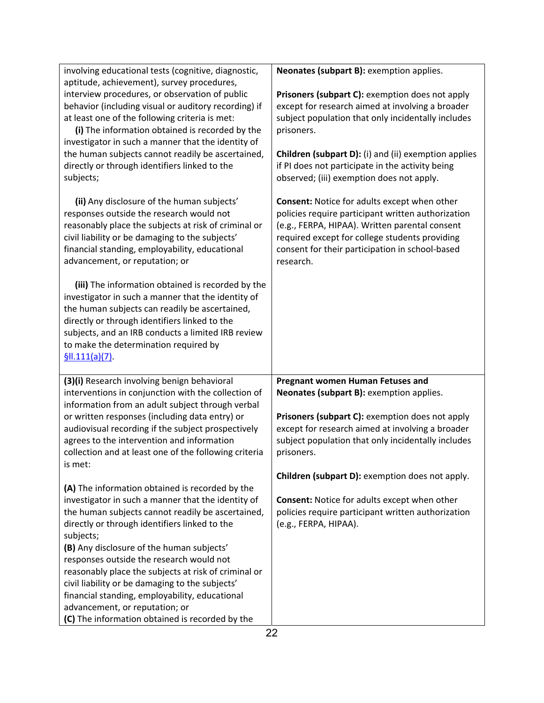| involving educational tests (cognitive, diagnostic,<br>aptitude, achievement), survey procedures,                                                                                                                                                                                                                              | Neonates (subpart B): exemption applies.                                                                                                                                                                                                                                      |
|--------------------------------------------------------------------------------------------------------------------------------------------------------------------------------------------------------------------------------------------------------------------------------------------------------------------------------|-------------------------------------------------------------------------------------------------------------------------------------------------------------------------------------------------------------------------------------------------------------------------------|
| interview procedures, or observation of public<br>behavior (including visual or auditory recording) if<br>at least one of the following criteria is met:<br>(i) The information obtained is recorded by the<br>investigator in such a manner that the identity of                                                              | Prisoners (subpart C): exemption does not apply<br>except for research aimed at involving a broader<br>subject population that only incidentally includes<br>prisoners.                                                                                                       |
| the human subjects cannot readily be ascertained,<br>directly or through identifiers linked to the<br>subjects;                                                                                                                                                                                                                | <b>Children (subpart D):</b> (i) and (ii) exemption applies<br>if PI does not participate in the activity being<br>observed; (iii) exemption does not apply.                                                                                                                  |
| (ii) Any disclosure of the human subjects'<br>responses outside the research would not<br>reasonably place the subjects at risk of criminal or<br>civil liability or be damaging to the subjects'<br>financial standing, employability, educational<br>advancement, or reputation; or                                          | <b>Consent: Notice for adults except when other</b><br>policies require participant written authorization<br>(e.g., FERPA, HIPAA). Written parental consent<br>required except for college students providing<br>consent for their participation in school-based<br>research. |
| (iii) The information obtained is recorded by the<br>investigator in such a manner that the identity of<br>the human subjects can readily be ascertained,<br>directly or through identifiers linked to the<br>subjects, and an IRB conducts a limited IRB review<br>to make the determination required by<br>$$II.111(a)(7)$ . |                                                                                                                                                                                                                                                                               |
| (3)(i) Research involving benign behavioral<br>interventions in conjunction with the collection of                                                                                                                                                                                                                             | <b>Pregnant women Human Fetuses and</b><br>Neonates (subpart B): exemption applies.                                                                                                                                                                                           |
| information from an adult subject through verbal<br>or written responses (including data entry) or<br>audiovisual recording if the subject prospectively<br>agrees to the intervention and information<br>collection and at least one of the following criteria<br>is met:                                                     | Prisoners (subpart C): exemption does not apply<br>except for research aimed at involving a broader<br>subject population that only incidentally includes<br>prisoners.                                                                                                       |
| (A) The information obtained is recorded by the                                                                                                                                                                                                                                                                                | Children (subpart D): exemption does not apply.                                                                                                                                                                                                                               |
| investigator in such a manner that the identity of<br>the human subjects cannot readily be ascertained,<br>directly or through identifiers linked to the<br>subjects;                                                                                                                                                          | <b>Consent: Notice for adults except when other</b><br>policies require participant written authorization<br>(e.g., FERPA, HIPAA).                                                                                                                                            |
| (B) Any disclosure of the human subjects'<br>responses outside the research would not                                                                                                                                                                                                                                          |                                                                                                                                                                                                                                                                               |
| reasonably place the subjects at risk of criminal or<br>civil liability or be damaging to the subjects'                                                                                                                                                                                                                        |                                                                                                                                                                                                                                                                               |
| financial standing, employability, educational<br>advancement, or reputation; or                                                                                                                                                                                                                                               |                                                                                                                                                                                                                                                                               |
| (C) The information obtained is recorded by the                                                                                                                                                                                                                                                                                |                                                                                                                                                                                                                                                                               |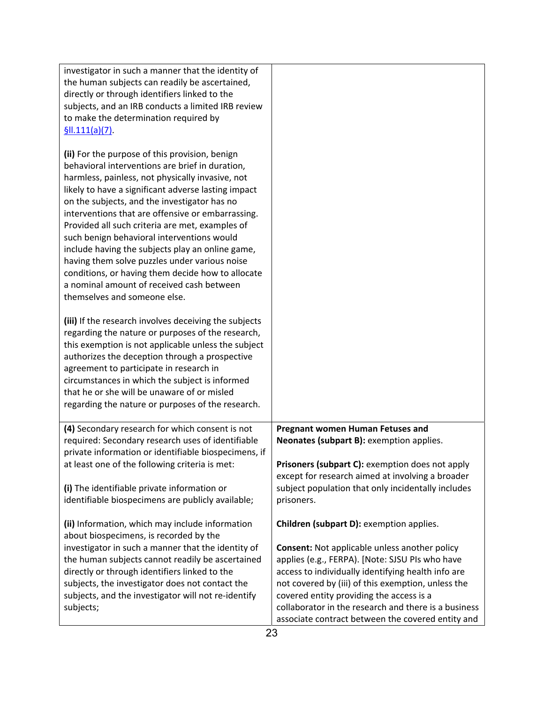| investigator in such a manner that the identity of    |                                                      |
|-------------------------------------------------------|------------------------------------------------------|
|                                                       |                                                      |
| the human subjects can readily be ascertained,        |                                                      |
| directly or through identifiers linked to the         |                                                      |
| subjects, and an IRB conducts a limited IRB review    |                                                      |
| to make the determination required by                 |                                                      |
| \$III.111(a)(7)                                       |                                                      |
|                                                       |                                                      |
| (ii) For the purpose of this provision, benign        |                                                      |
| behavioral interventions are brief in duration,       |                                                      |
| harmless, painless, not physically invasive, not      |                                                      |
| likely to have a significant adverse lasting impact   |                                                      |
| on the subjects, and the investigator has no          |                                                      |
| interventions that are offensive or embarrassing.     |                                                      |
| Provided all such criteria are met, examples of       |                                                      |
| such benign behavioral interventions would            |                                                      |
| include having the subjects play an online game,      |                                                      |
| having them solve puzzles under various noise         |                                                      |
| conditions, or having them decide how to allocate     |                                                      |
| a nominal amount of received cash between             |                                                      |
| themselves and someone else.                          |                                                      |
|                                                       |                                                      |
|                                                       |                                                      |
| (iii) If the research involves deceiving the subjects |                                                      |
| regarding the nature or purposes of the research,     |                                                      |
| this exemption is not applicable unless the subject   |                                                      |
| authorizes the deception through a prospective        |                                                      |
| agreement to participate in research in               |                                                      |
| circumstances in which the subject is informed        |                                                      |
| that he or she will be unaware of or misled           |                                                      |
| regarding the nature or purposes of the research.     |                                                      |
|                                                       |                                                      |
| (4) Secondary research for which consent is not       | <b>Pregnant women Human Fetuses and</b>              |
| required: Secondary research uses of identifiable     | Neonates (subpart B): exemption applies.             |
| private information or identifiable biospecimens, if  |                                                      |
| at least one of the following criteria is met:        | Prisoners (subpart C): exemption does not apply      |
|                                                       | except for research aimed at involving a broader     |
| (i) The identifiable private information or           | subject population that only incidentally includes   |
| identifiable biospecimens are publicly available;     | prisoners.                                           |
|                                                       |                                                      |
| (ii) Information, which may include information       | Children (subpart D): exemption applies.             |
| about biospecimens, is recorded by the                |                                                      |
| investigator in such a manner that the identity of    | <b>Consent:</b> Not applicable unless another policy |
| the human subjects cannot readily be ascertained      | applies (e.g., FERPA). [Note: SJSU PIs who have      |
| directly or through identifiers linked to the         | access to individually identifying health info are   |
| subjects, the investigator does not contact the       | not covered by (iii) of this exemption, unless the   |
| subjects, and the investigator will not re-identify   | covered entity providing the access is a             |
| subjects;                                             | collaborator in the research and there is a business |
|                                                       | associate contract between the covered entity and    |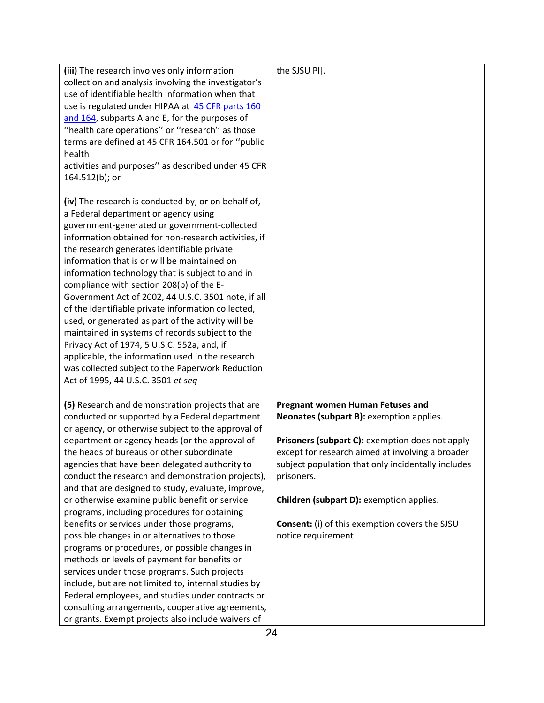| (iii) The research involves only information         | the SJSU PI].                                         |
|------------------------------------------------------|-------------------------------------------------------|
| collection and analysis involving the investigator's |                                                       |
| use of identifiable health information when that     |                                                       |
| use is regulated under HIPAA at 45 CFR parts 160     |                                                       |
| and 164, subparts A and E, for the purposes of       |                                                       |
| "health care operations" or "research" as those      |                                                       |
| terms are defined at 45 CFR 164.501 or for "public   |                                                       |
| health                                               |                                                       |
| activities and purposes" as described under 45 CFR   |                                                       |
| 164.512(b); or                                       |                                                       |
| (iv) The research is conducted by, or on behalf of,  |                                                       |
| a Federal department or agency using                 |                                                       |
| government-generated or government-collected         |                                                       |
| information obtained for non-research activities, if |                                                       |
| the research generates identifiable private          |                                                       |
| information that is or will be maintained on         |                                                       |
| information technology that is subject to and in     |                                                       |
| compliance with section 208(b) of the E-             |                                                       |
| Government Act of 2002, 44 U.S.C. 3501 note, if all  |                                                       |
| of the identifiable private information collected,   |                                                       |
| used, or generated as part of the activity will be   |                                                       |
| maintained in systems of records subject to the      |                                                       |
| Privacy Act of 1974, 5 U.S.C. 552a, and, if          |                                                       |
| applicable, the information used in the research     |                                                       |
| was collected subject to the Paperwork Reduction     |                                                       |
| Act of 1995, 44 U.S.C. 3501 et seq                   |                                                       |
| (5) Research and demonstration projects that are     | <b>Pregnant women Human Fetuses and</b>               |
| conducted or supported by a Federal department       | Neonates (subpart B): exemption applies.              |
| or agency, or otherwise subject to the approval of   |                                                       |
| department or agency heads (or the approval of       | Prisoners (subpart C): exemption does not apply       |
| the heads of bureaus or other subordinate            | except for research aimed at involving a broader      |
| agencies that have been delegated authority to       | subject population that only incidentally includes    |
| conduct the research and demonstration projects),    | prisoners.                                            |
| and that are designed to study, evaluate, improve,   |                                                       |
| or otherwise examine public benefit or service       | Children (subpart D): exemption applies.              |
| programs, including procedures for obtaining         |                                                       |
| benefits or services under those programs,           | <b>Consent:</b> (i) of this exemption covers the SJSU |
| possible changes in or alternatives to those         | notice requirement.                                   |
| programs or procedures, or possible changes in       |                                                       |
| methods or levels of payment for benefits or         |                                                       |
| services under those programs. Such projects         |                                                       |
| include, but are not limited to, internal studies by |                                                       |
| Federal employees, and studies under contracts or    |                                                       |
| consulting arrangements, cooperative agreements,     |                                                       |
| or grants. Exempt projects also include waivers of   |                                                       |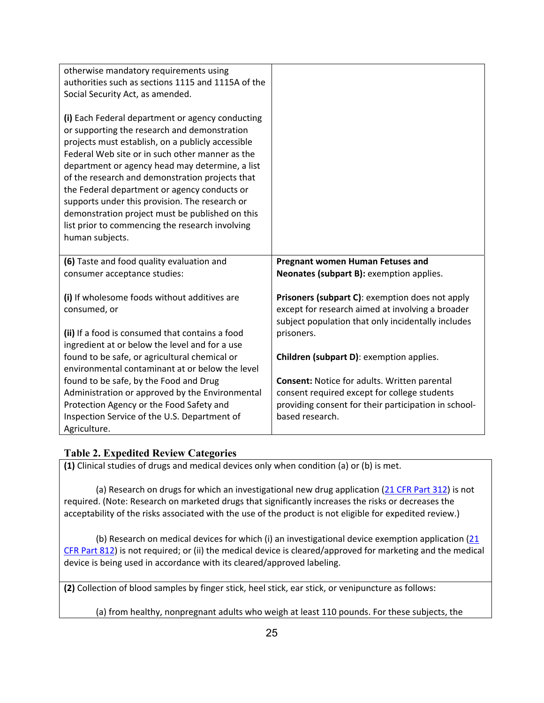| otherwise mandatory requirements using<br>authorities such as sections 1115 and 1115A of the<br>Social Security Act, as amended.                                                                                                                                                                                                                                                                                                                                                                                                          |                                                                                                                                                                                |
|-------------------------------------------------------------------------------------------------------------------------------------------------------------------------------------------------------------------------------------------------------------------------------------------------------------------------------------------------------------------------------------------------------------------------------------------------------------------------------------------------------------------------------------------|--------------------------------------------------------------------------------------------------------------------------------------------------------------------------------|
| (i) Each Federal department or agency conducting<br>or supporting the research and demonstration<br>projects must establish, on a publicly accessible<br>Federal Web site or in such other manner as the<br>department or agency head may determine, a list<br>of the research and demonstration projects that<br>the Federal department or agency conducts or<br>supports under this provision. The research or<br>demonstration project must be published on this<br>list prior to commencing the research involving<br>human subjects. |                                                                                                                                                                                |
| (6) Taste and food quality evaluation and<br>consumer acceptance studies:                                                                                                                                                                                                                                                                                                                                                                                                                                                                 | Pregnant women Human Fetuses and<br>Neonates (subpart B): exemption applies.                                                                                                   |
| (i) If wholesome foods without additives are<br>consumed, or<br>(ii) If a food is consumed that contains a food<br>ingredient at or below the level and for a use                                                                                                                                                                                                                                                                                                                                                                         | Prisoners (subpart C): exemption does not apply<br>except for research aimed at involving a broader<br>subject population that only incidentally includes<br>prisoners.        |
| found to be safe, or agricultural chemical or<br>environmental contaminant at or below the level                                                                                                                                                                                                                                                                                                                                                                                                                                          | Children (subpart D): exemption applies.                                                                                                                                       |
| found to be safe, by the Food and Drug<br>Administration or approved by the Environmental<br>Protection Agency or the Food Safety and<br>Inspection Service of the U.S. Department of<br>Agriculture.                                                                                                                                                                                                                                                                                                                                     | <b>Consent: Notice for adults. Written parental</b><br>consent required except for college students<br>providing consent for their participation in school-<br>based research. |

# **Table 2. Expedited Review Categories**

**(1)** Clinical studies of drugs and medical devices only when condition (a) or (b) is met.

 acceptability of the risks associated with the use of the product is not eligible for expedited review.) (a) Research on drugs for which an investigational new drug application (21 CFR Part 312) is not required. (Note: Research on marketed drugs that significantly increases the risks or decreases the

(b) Research on medical devices for which (i) an investigational device exemption application (21 CFR Part 812) is not required; or (ii) the medical device is cleared/approved for marketing and the medical device is being used in accordance with its cleared/approved labeling.

**(2)** Collection of blood samples by finger stick, heel stick, ear stick, or venipuncture as follows:

(a) from healthy, nonpregnant adults who weigh at least 110 pounds. For these subjects, the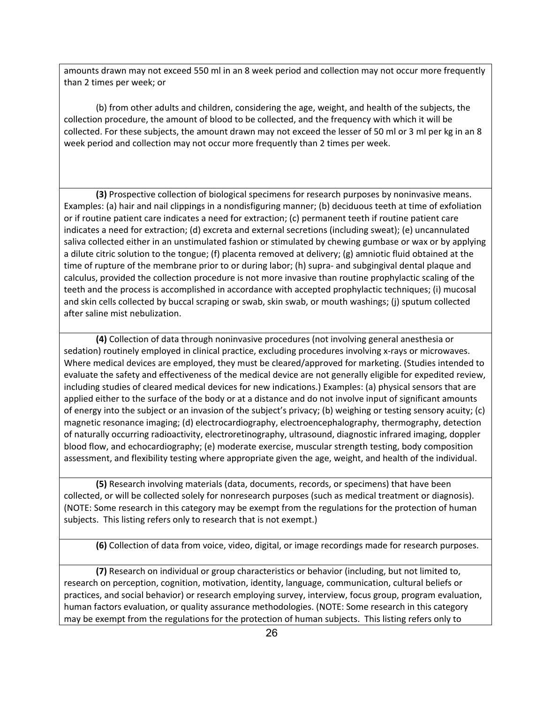amounts drawn may not exceed 550 ml in an 8 week period and collection may not occur more frequently than 2 times per week; or

 collection procedure, the amount of blood to be collected, and the frequency with which it will be collected. For these subjects, the amount drawn may not exceed the lesser of 50 ml or 3 ml per kg in an 8 (b) from other adults and children, considering the age, weight, and health of the subjects, the week period and collection may not occur more frequently than 2 times per week.

 or if routine patient care indicates a need for extraction; (c) permanent teeth if routine patient care teeth and the process is accomplished in accordance with accepted prophylactic techniques; (i) mucosal **(3)** Prospective collection of biological specimens for research purposes by noninvasive means. Examples: (a) hair and nail clippings in a nondisfiguring manner; (b) deciduous teeth at time of exfoliation indicates a need for extraction; (d) excreta and external secretions (including sweat); (e) uncannulated saliva collected either in an unstimulated fashion or stimulated by chewing gumbase or wax or by applying a dilute citric solution to the tongue; (f) placenta removed at delivery; (g) amniotic fluid obtained at the time of rupture of the membrane prior to or during labor; (h) supra- and subgingival dental plaque and calculus, provided the collection procedure is not more invasive than routine prophylactic scaling of the and skin cells collected by buccal scraping or swab, skin swab, or mouth washings; (j) sputum collected after saline mist nebulization.

 Where medical devices are employed, they must be cleared/approved for marketing. (Studies intended to assessment, and flexibility testing where appropriate given the age, weight, and health of the individual. **(4)** Collection of data through noninvasive procedures (not involving general anesthesia or sedation) routinely employed in clinical practice, excluding procedures involving x-rays or microwaves. evaluate the safety and effectiveness of the medical device are not generally eligible for expedited review, including studies of cleared medical devices for new indications.) Examples: (a) physical sensors that are applied either to the surface of the body or at a distance and do not involve input of significant amounts of energy into the subject or an invasion of the subject's privacy; (b) weighing or testing sensory acuity; (c) magnetic resonance imaging; (d) electrocardiography, electroencephalography, thermography, detection of naturally occurring radioactivity, electroretinography, ultrasound, diagnostic infrared imaging, doppler blood flow, and echocardiography; (e) moderate exercise, muscular strength testing, body composition

 subjects. This listing refers only to research that is not exempt.) **(5)** Research involving materials (data, documents, records, or specimens) that have been collected, or will be collected solely for nonresearch purposes (such as medical treatment or diagnosis). (NOTE: Some research in this category may be exempt from the regulations for the protection of human

**(6)** Collection of data from voice, video, digital, or image recordings made for research purposes.

**(7)** Research on individual or group characteristics or behavior (including, but not limited to, research on perception, cognition, motivation, identity, language, communication, cultural beliefs or practices, and social behavior) or research employing survey, interview, focus group, program evaluation, human factors evaluation, or quality assurance methodologies. (NOTE: Some research in this category may be exempt from the regulations for the protection of human subjects. This listing refers only to